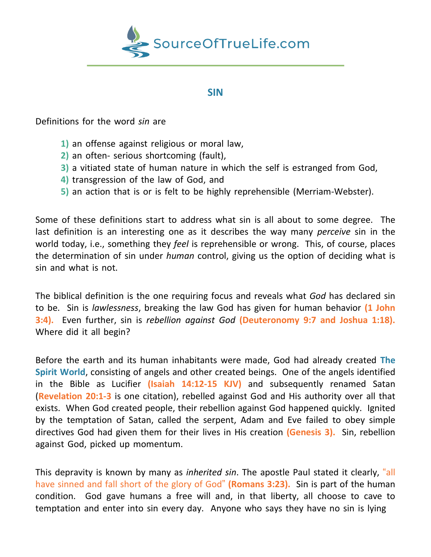

## **SIN**

Definitions for the word *sin* are

- **1)** an offense against religious or moral law,
- **2)** an often- serious shortcoming (fault),
- **3)** a vitiated state of human nature in which the self is estranged from God,
- **4)** transgression of the law of God, and
- **5)** an action that is or is felt to be highly reprehensible (Merriam-Webster).

Some of these definitions start to address what sin is all about to some degree. The last definition is an interesting one as it describes the way many *perceive* sin in the world today, i.e., something they *feel* is reprehensible or wrong. This, of course, places the determination of sin under *human* control, giving us the option of deciding what is sin and what is not.

The biblical definition is the one requiring focus and reveals what *God* has declared sin to be. Sin is *lawlessness*, breaking the law God has given for human behavior **(1 John 3:4).** Even further, sin is *rebellion against God* **(Deuteronomy 9:7 and Joshua 1:18).** Where did it all begin?

Before the earth and its human inhabitants were made, God had already created **The Spirit World**, consisting of angels and other created beings. One of the angels identified in the Bible as Lucifier **(Isaiah 14:12-15 KJV)** and subsequently renamed Satan (**Revelation 20:1-3** is one citation), rebelled against God and His authority over all that exists. When God created people, their rebellion against God happened quickly. Ignited by the temptation of Satan, called the serpent, Adam and Eve failed to obey simple directives God had given them for their lives in His creation **(Genesis 3).** Sin, rebellion against God, picked up momentum.

This depravity is known by many as *inherited sin*. The apostle Paul stated it clearly, "all have sinned and fall short of the glory of God" **(Romans 3:23).** Sin is part of the human condition. God gave humans a free will and, in that liberty, all choose to cave to temptation and enter into sin every day. Anyone who says they have no sin is lying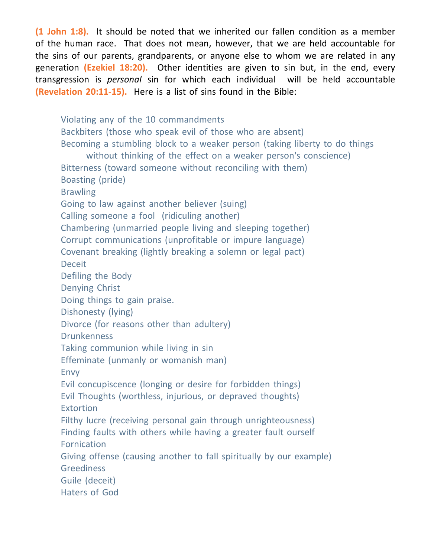**(1 John 1:8).** It should be noted that we inherited our fallen condition as a member of the human race. That does not mean, however, that we are held accountable for the sins of our parents, grandparents, or anyone else to whom we are related in any generation **(Ezekiel 18:20).** Other identities are given to sin but, in the end, every transgression is *personal* sin for which each individual will be held accountable **(Revelation 20:11-15).** Here is a list of sins found in the Bible:

Violating any of the 10 commandments Backbiters (those who speak evil of those who are absent) Becoming a stumbling block to a weaker person (taking liberty to do things without thinking of the effect on a weaker person's conscience) Bitterness (toward someone without reconciling with them) Boasting (pride) **Brawling** Going to law against another believer (suing) Calling someone a fool (ridiculing another) Chambering (unmarried people living and sleeping together) Corrupt communications (unprofitable or impure language) Covenant breaking (lightly breaking a solemn or legal pact) Deceit Defiling the Body Denying Christ Doing things to gain praise. Dishonesty (lying) Divorce (for reasons other than adultery) **Drunkenness** Taking communion while living in sin Effeminate (unmanly or womanish man) Envy Evil concupiscence (longing or desire for forbidden things) Evil Thoughts (worthless, injurious, or depraved thoughts) **Extortion** Filthy lucre (receiving personal gain through unrighteousness) Finding faults with others while having a greater fault ourself **Fornication** Giving offense (causing another to fall spiritually by our example) **Greediness** Guile (deceit) Haters of God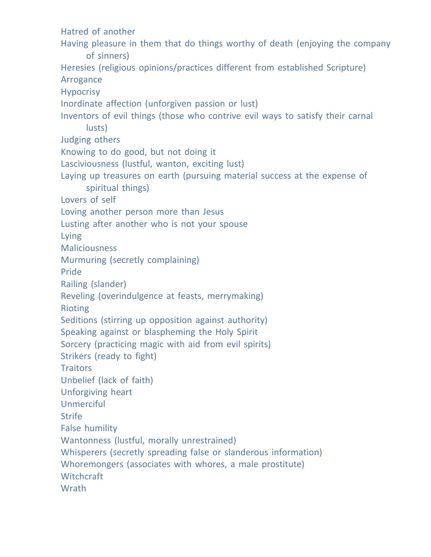Hatred of another Having pleasure in them that do things worthy of death (enjoying the company of sinners) Heresies (religious opinions/practices different from established Scripture) Arrogance Hypocrisy Inordinate affection (unforgiven passion or lust) Inventors of evil things (those who contrive evil ways to satisfy their carnal lusts) Judging others Knowing to do good, but not doing it Lasciviousness (lustful, wanton, exciting lust) Laying up treasures on earth (pursuing material success at the expense of spiritual things) Lovers of self Loving another person more than Jesus Lusting after another who is not your spouse Lying **Maliciousness** Murmuring (secretly complaining) Pride Railing (slander) Reveling (overindulgence at feasts, merrymaking) Rioting Seditions (stirring up opposition against authority) Speaking against or blaspheming the Holy Spirit Sorcery (practicing magic with aid from evil spirits) Strikers (ready to fight) **Traitors** Unbelief (lack of faith) Unforgiving heart Unmerciful **Strife** False humility Wantonness (lustful, morally unrestrained) Whisperers (secretly spreading false or slanderous information) Whoremongers (associates with whores, a male prostitute) **Witchcraft Wrath**